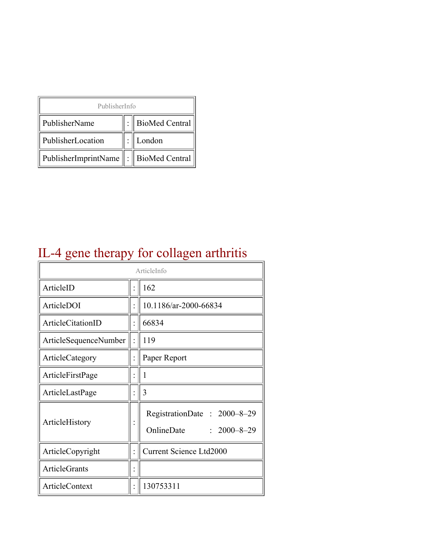| PublisherInfo                              |  |                  |  |  |
|--------------------------------------------|--|------------------|--|--|
| PublisherName                              |  | : BioMed Central |  |  |
| PublisherLocation                          |  | London           |  |  |
| PublisherImprintName   :    BioMed Central |  |                  |  |  |

## IL-4 gene therapy for collagen arthritis

| ArticleInfo           |  |                                                                         |
|-----------------------|--|-------------------------------------------------------------------------|
| ArticleID             |  | 162                                                                     |
| ArticleDOI            |  | 10.1186/ar-2000-66834                                                   |
| ArticleCitationID     |  | 66834                                                                   |
| ArticleSequenceNumber |  | 119                                                                     |
| ArticleCategory       |  | Paper Report                                                            |
| ArticleFirstPage      |  | I                                                                       |
| ArticleLastPage       |  | 3                                                                       |
| ArticleHistory        |  | RegistrationDate:<br>$2000 - 8 - 29$<br>OnlineDate<br>$: 2000 - 8 - 29$ |
| ArticleCopyright      |  | <b>Current Science Ltd2000</b>                                          |
| <b>ArticleGrants</b>  |  |                                                                         |
| ArticleContext        |  | 130753311                                                               |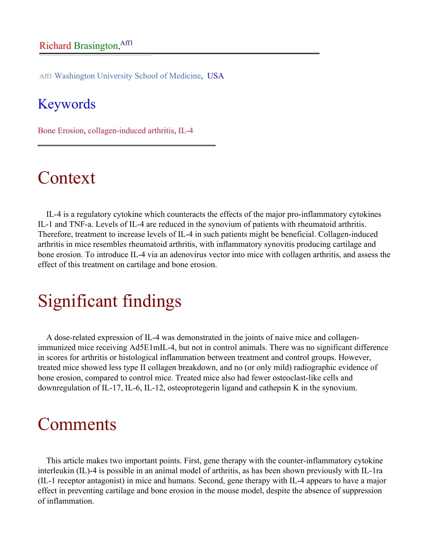Aff1 Washington University School of Medicine, USA

### Keywords

Bone Erosion, collagen-induced arthritis, IL-4

## Context

IL-4 is a regulatory cytokine which counteracts the effects of the major pro-inflammatory cytokines IL-1 and TNF-a. Levels of IL-4 are reduced in the synovium of patients with rheumatoid arthritis. Therefore, treatment to increase levels of IL-4 in such patients might be beneficial. Collagen-induced arthritis in mice resembles rheumatoid arthritis, with inflammatory synovitis producing cartilage and bone erosion. To introduce IL-4 via an adenovirus vector into mice with collagen arthritis, and assess the effect of this treatment on cartilage and bone erosion.

# Significant findings

A dose-related expression of IL-4 was demonstrated in the joints of naive mice and collagenimmunized mice receiving Ad5E1mIL-4, but not in control animals. There was no significant difference in scores for arthritis or histological inflammation between treatment and control groups. However, treated mice showed less type II collagen breakdown, and no (or only mild) radiographic evidence of bone erosion, compared to control mice. Treated mice also had fewer osteoclast-like cells and downregulation of IL-17, IL-6, IL-12, osteoprotegerin ligand and cathepsin K in the synovium.

## Comments

This article makes two important points. First, gene therapy with the counter-inflammatory cytokine interleukin (IL)-4 is possible in an animal model of arthritis, as has been shown previously with IL-1ra (IL-1 receptor antagonist) in mice and humans. Second, gene therapy with IL-4 appears to have a major effect in preventing cartilage and bone erosion in the mouse model, despite the absence of suppression of inflammation.